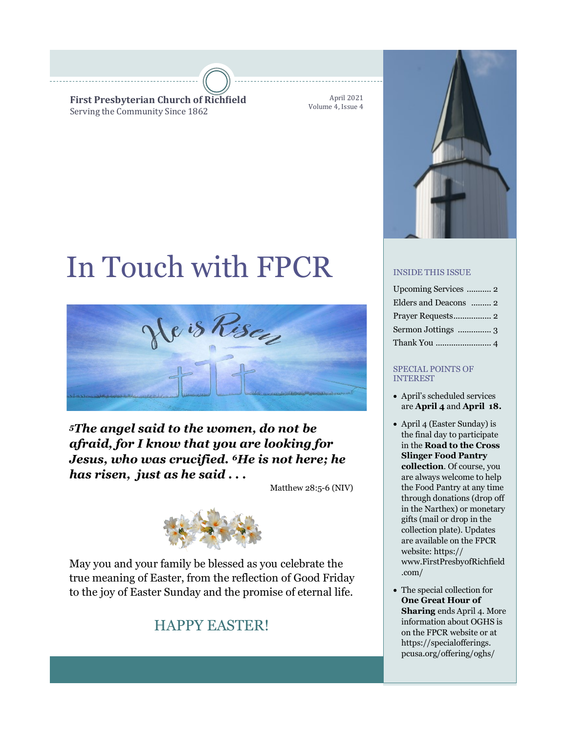**First Presbyterian Church of Richfield** Serving the Community Since 1862

April 2021 Volume 4, Issue 4

# In Touch with FPCR



## *<sup>5</sup>The angel said to the women, do not be afraid, for I know that you are looking for Jesus, who was crucified. 6He is not here; he has risen, just as he said . . .*

Matthew 28:5-6 (NIV)



May you and your family be blessed as you celebrate the true meaning of Easter, from the reflection of Good Friday to the joy of Easter Sunday and the promise of eternal life.

## HAPPY EASTER!



## INSIDE THIS ISSUE

| Upcoming Services  2  |
|-----------------------|
| Elders and Deacons  2 |
|                       |
| Sermon Jottings  3    |
|                       |

#### SPECIAL POINTS OF INTEREST

- April's scheduled services are **April 4** and **April 18.**
- April 4 (Easter Sunday) is the final day to participate in the **Road to the Cross Slinger Food Pantry collection**. Of course, you are always welcome to help the Food Pantry at any time through donations (drop off in the Narthex) or monetary gifts (mail or drop in the collection plate). Updates are available on the FPCR website: https:// www.FirstPresbyofRichfield .com/
- The special collection for **One Great Hour of Sharing** ends April 4. More information about OGHS is on the FPCR website or at https://specialofferings. pcusa.org/offering/oghs/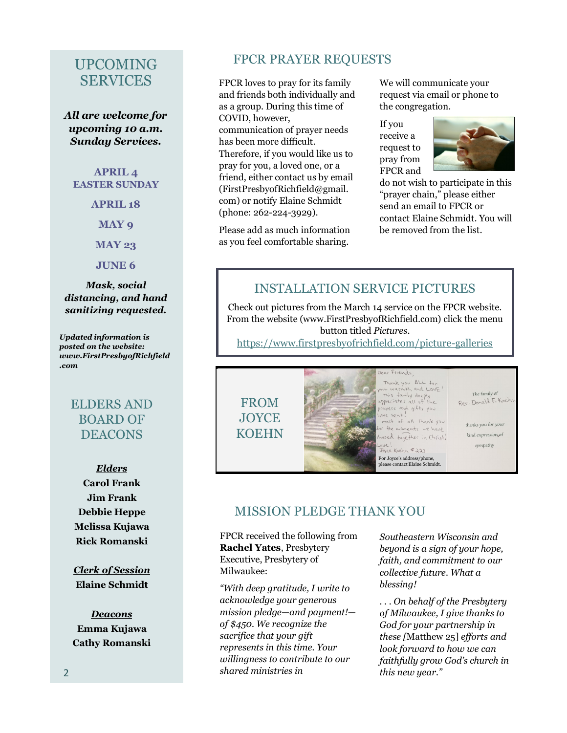## UPCOMING **SERVICES**

*All are welcome for upcoming 10 a.m. Sunday Services.*

#### **APRIL 4 EASTER SUNDAY**

**APRIL 18**

**MAY 9**

**MAY 23**

**JUNE 6**

*Mask, social distancing, and hand sanitizing requested.*

*Updated information is posted on the website: www.FirstPresbyofRichfield .com*

## ELDERS AND BOARD OF DEACONS

*Elders* **Carol Frank Jim Frank Debbie Heppe Melissa Kujawa Rick Romanski**

*Clerk of Session* **Elaine Schmidt**

*Deacons* **Emma Kujawa Cathy Romanski**

### FPCR PRAYER REQUESTS

FPCR loves to pray for its family and friends both individually and as a group. During this time of COVID, however, communication of prayer needs has been more difficult. Therefore, if you would like us to pray for you, a loved one, or a friend, either contact us by email (FirstPresbyofRichfield@gmail. com) or notify Elaine Schmidt (phone: 262-224-3929).

Please add as much information as you feel comfortable sharing.

We will communicate your request via email or phone to the congregation.

If you receive a request to pray from FPCR and



do not wish to participate in this "prayer chain," please either send an email to FPCR or contact Elaine Schmidt. You will be removed from the list.

## INSTALLATION SERVICE PICTURES

Check out pictures from the March 14 service on the FPCR website. From the website (www.FirstPresbyofRichfield.com) click the menu button titled *Pictures*.

[https://www.firstpresbyofrichfield.com/picture](https://www.firstpresbyofrichfield.com/picture-galleries)-galleries



## MISSION PLEDGE THANK YOU

FPCR received the following from **Rachel Yates**, Presbytery Executive, Presbytery of Milwaukee:

*"With deep gratitude, I write to acknowledge your generous mission pledge—and payment! of \$450. We recognize the sacrifice that your gift represents in this time. Your willingness to contribute to our shared ministries in* 

*Southeastern Wisconsin and beyond is a sign of your hope, faith, and commitment to our collective future. What a blessing!* 

*. . . On behalf of the Presbytery of Milwaukee, I give thanks to God for your partnership in these [*Matthew 25] *efforts and look forward to how we can faithfully grow God's church in this new year."*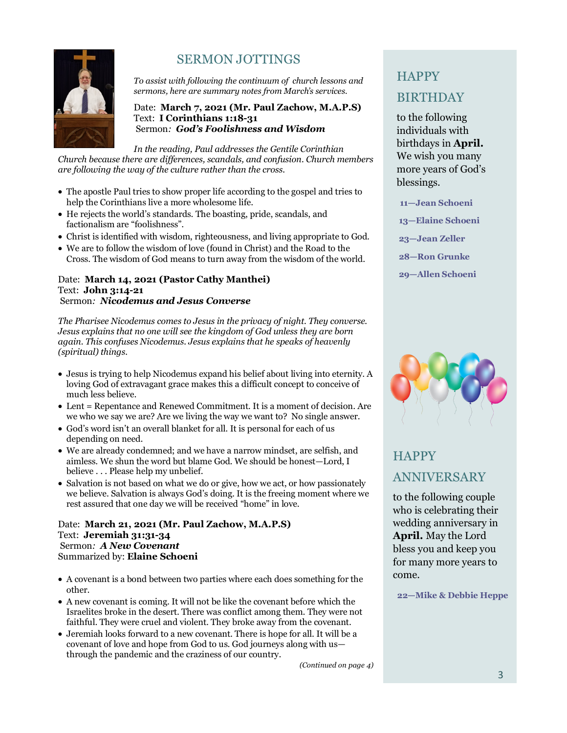

## SERMON JOTTINGS

*To assist with following the continuum of church lessons and sermons, here are summary notes from March's services.*

#### Date: **March 7, 2021 (Mr. Paul Zachow, M.A.P.S)** Text: **I Corinthians 1:18-31** Sermon*: God's Foolishness and Wisdom*

*In the reading, Paul addresses the Gentile Corinthian Church because there are differences, scandals, and confusion. Church members are following the way of the culture rather than the cross.*

- The apostle Paul tries to show proper life according to the gospel and tries to help the Corinthians live a more wholesome life.
- He rejects the world's standards. The boasting, pride, scandals, and factionalism are "foolishness".
- Christ is identified with wisdom, righteousness, and living appropriate to God.
- We are to follow the wisdom of love (found in Christ) and the Road to the Cross. The wisdom of God means to turn away from the wisdom of the world.

#### Date: **March 14, 2021 (Pastor Cathy Manthei)** Text: **John 3:14-21** Sermon*: Nicodemus and Jesus Converse*

*The Pharisee Nicodemus comes to Jesus in the privacy of night. They converse. Jesus explains that no one will see the kingdom of God unless they are born again. This confuses Nicodemus. Jesus explains that he speaks of heavenly (spiritual) things.*

- Jesus is trying to help Nicodemus expand his belief about living into eternity. A loving God of extravagant grace makes this a difficult concept to conceive of much less believe.
- Lent = Repentance and Renewed Commitment. It is a moment of decision. Are we who we say we are? Are we living the way we want to? No single answer.
- God's word isn't an overall blanket for all. It is personal for each of us depending on need.
- We are already condemned; and we have a narrow mindset, are selfish, and aimless. We shun the word but blame God. We should be honest—Lord, I believe . . . Please help my unbelief.
- Salvation is not based on what we do or give, how we act, or how passionately we believe. Salvation is always God's doing. It is the freeing moment where we rest assured that one day we will be received "home" in love.

Date: **March 21, 2021 (Mr. Paul Zachow, M.A.P.S)** Text: **Jeremiah 31:31-34** Sermon*: A New Covenant* Summarized by: **Elaine Schoeni**

- A covenant is a bond between two parties where each does something for the other.
- A new covenant is coming. It will not be like the covenant before which the Israelites broke in the desert. There was conflict among them. They were not faithful. They were cruel and violent. They broke away from the covenant.
- Jeremiah looks forward to a new covenant. There is hope for all. It will be a covenant of love and hope from God to us. God journeys along with us through the pandemic and the craziness of our country.

*(Continued on page 4)*

# **HAPPY** BIRTHDAY

to the following individuals with birthdays in **April.**  We wish you many more years of God's blessings.

**11—Jean Schoeni**

- **13—Elaine Schoeni**
- **23—Jean Zeller**

**28—Ron Grunke**

**29—Allen Schoeni**



# **HAPPY** ANNIVERSARY

to the following couple who is celebrating their wedding anniversary in **April.** May the Lord bless you and keep you for many more years to come.

**22—Mike & Debbie Heppe**